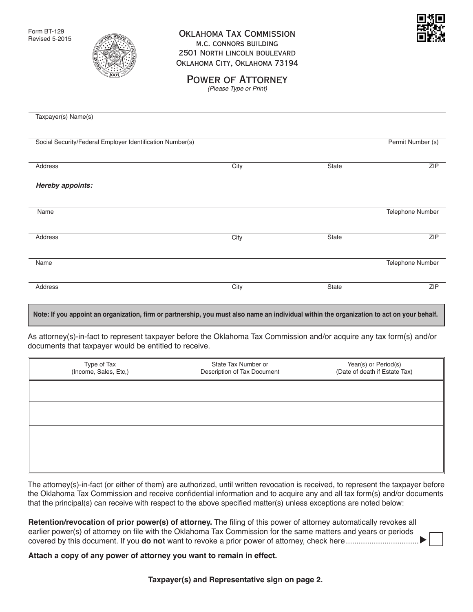Form BT-129 Revised 5-2015



## Oklahoma Tax Commission m.c. connors building 2501 North lincoln boulevard Oklahoma City, Oklahoma 73194



POWER OF ATTORNEY *(Please Type or Print)*

| Taxpayer(s) Name(s)                                                                                                                        |      |       |                         |
|--------------------------------------------------------------------------------------------------------------------------------------------|------|-------|-------------------------|
| Social Security/Federal Employer Identification Number(s)                                                                                  |      |       | Permit Number (s)       |
| Address                                                                                                                                    | City | State | <b>ZIP</b>              |
| Hereby appoints:                                                                                                                           |      |       |                         |
| Name                                                                                                                                       |      |       | Telephone Number        |
| Address                                                                                                                                    | City | State | <b>ZIP</b>              |
| Name                                                                                                                                       |      |       | <b>Telephone Number</b> |
| Address                                                                                                                                    | City | State | <b>ZIP</b>              |
| Note: If you appoint an organization, firm or partnership, you must also name an individual within the organization to act on your behalf. |      |       |                         |

As attorney(s)-in-fact to represent taxpayer before the Oklahoma Tax Commission and/or acquire any tax form(s) and/or documents that taxpayer would be entitled to receive.

| Type of Tax<br>(Income, Sales, Etc,) | State Tax Number or<br>Description of Tax Document | Year(s) or Period(s)<br>(Date of death if Estate Tax) |
|--------------------------------------|----------------------------------------------------|-------------------------------------------------------|
|                                      |                                                    |                                                       |
|                                      |                                                    |                                                       |
|                                      |                                                    |                                                       |
|                                      |                                                    |                                                       |

The attorney(s)-in-fact (or either of them) are authorized, until written revocation is received, to represent the taxpayer before the Oklahoma Tax Commission and receive confidential information and to acquire any and all tax form(s) and/or documents that the principal(s) can receive with respect to the above specified matter(s) unless exceptions are noted below:

| Retention/revocation of prior power(s) of attorney. The filing of this power of attorney automatically revokes all |
|--------------------------------------------------------------------------------------------------------------------|
| earlier power(s) of attorney on file with the Oklahoma Tax Commission for the same matters and years or periods    |
|                                                                                                                    |

**Attach a copy of any power of attorney you want to remain in effect.**